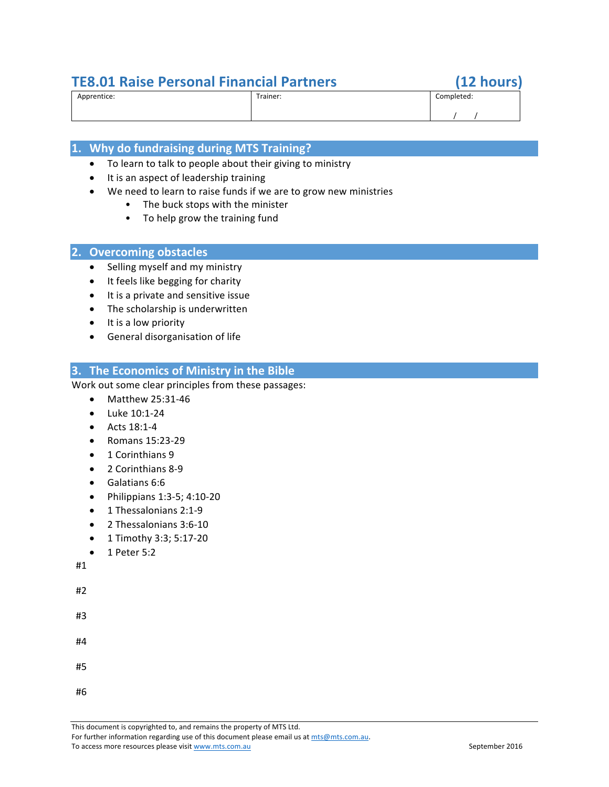# **TE8.01 Raise Personal Financial Partners (12 hours)**

# Apprentice: Trainer: Completed:  $\sqrt{}$

# **1. Why do fundraising during MTS Training?**

- To learn to talk to people about their giving to ministry
- It is an aspect of leadership training
	- We need to learn to raise funds if we are to grow new ministries
		- The buck stops with the minister
		- To help grow the training fund

# **2. Overcoming obstacles**

- Selling myself and my ministry
- It feels like begging for charity
- It is a private and sensitive issue
- $\bullet$  The scholarship is underwritten
- $\bullet$  It is a low priority
- General disorganisation of life

# **3. The Economics of Ministry in the Bible**

Work out some clear principles from these passages:

- Matthew 25:31-46
- $\bullet$  Luke 10:1-24
- $\bullet$  Acts 18:1-4
- Romans 15:23-29
- 1 Corinthians 9
- 2 Corinthians 8-9
- Galatians 6:6
- $\bullet$  Philippians 1:3-5; 4:10-20
- 1 Thessalonians 2:1-9
- 2 Thessalonians 3:6-10
- 1 Timothy 3:3; 5:17-20
- $\bullet$  1 Peter 5:2

#1

#2

#3

- #4
- #5
- #6

This document is copyrighted to, and remains the property of MTS Ltd. For further information regarding use of this document please email us at mts@mts.com.au.

To access more resources please visit www.mts.com.au September 2016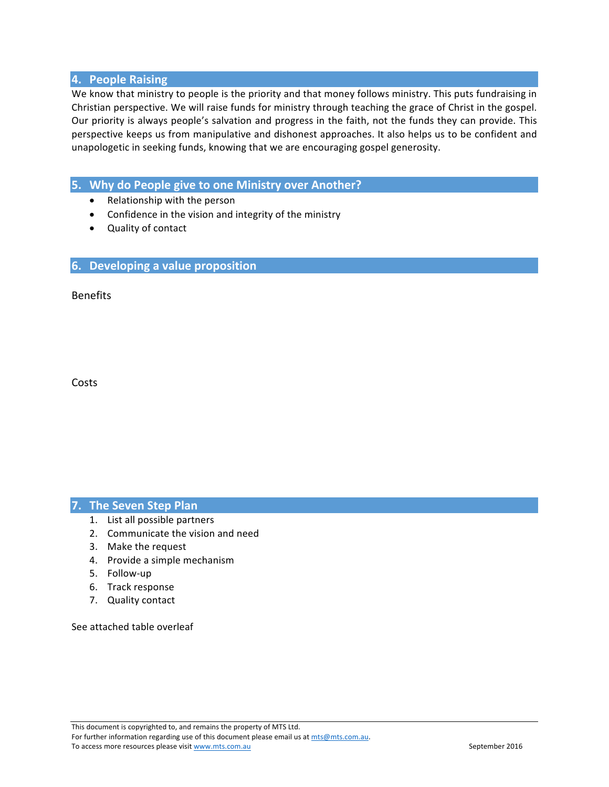### **4. People Raising**

We know that ministry to people is the priority and that money follows ministry. This puts fundraising in Christian perspective. We will raise funds for ministry through teaching the grace of Christ in the gospel. Our priority is always people's salvation and progress in the faith, not the funds they can provide. This perspective keeps us from manipulative and dishonest approaches. It also helps us to be confident and unapologetic in seeking funds, knowing that we are encouraging gospel generosity.

# **5.** Why do People give to one Ministry over Another?

- Relationship with the person
- Confidence in the vision and integrity of the ministry
- Quality of contact

#### **6.** Developing a value proposition

Benefits

Costs

#### **7.** The Seven Step Plan

- 1. List all possible partners
- 2. Communicate the vision and need
- 3. Make the request
- 4. Provide a simple mechanism
- 5. Follow-up
- 6. Track response
- 7. Quality contact

See attached table overleaf